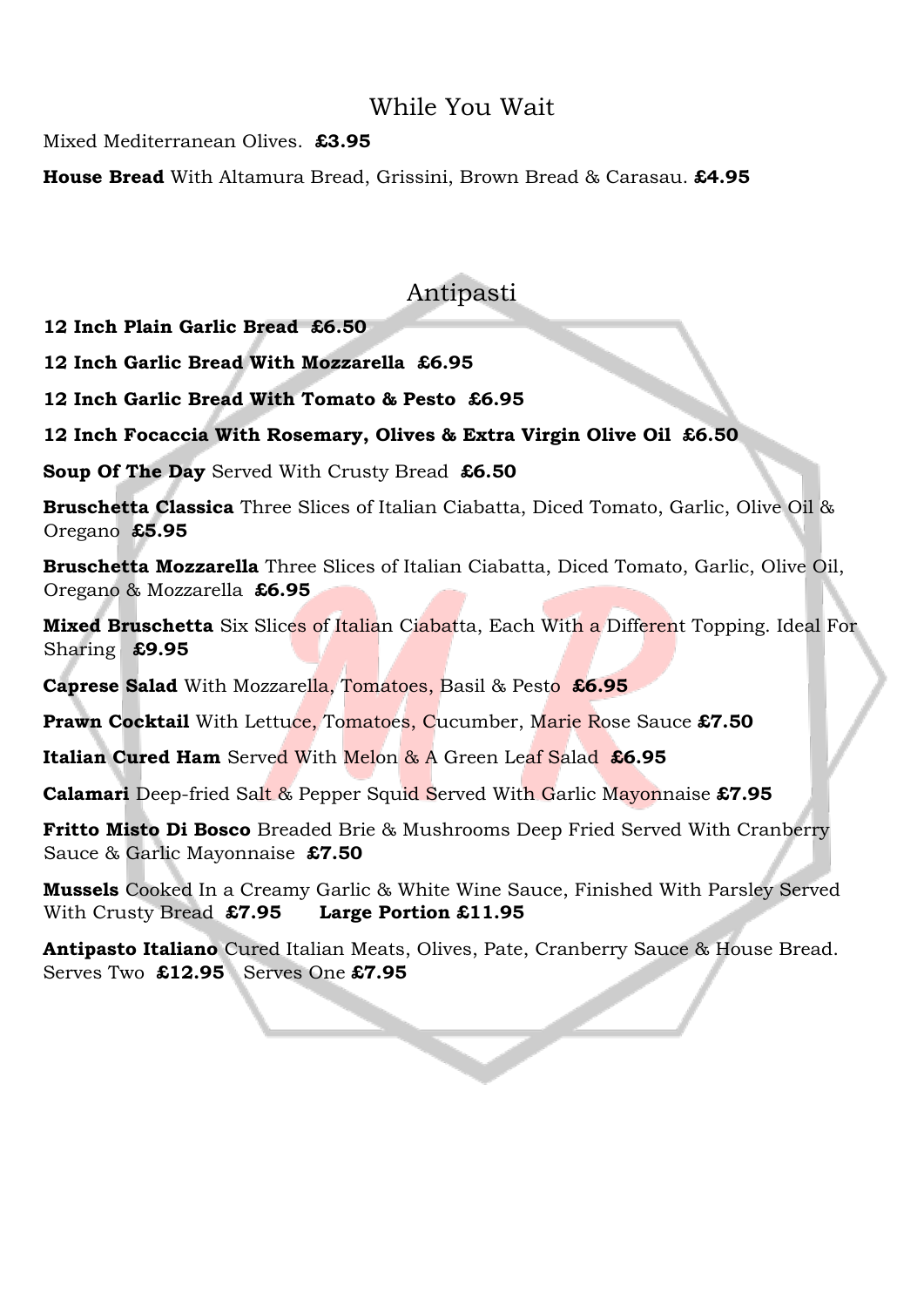## While You Wait

Mixed Mediterranean Olives. **£3.95** 

**House Bread** With Altamura Bread, Grissini, Brown Bread & Carasau. **£4.95**

## Antipasti

**12 Inch Plain Garlic Bread £6.50** 

**12 Inch Garlic Bread With Mozzarella £6.95** 

**12 Inch Garlic Bread With Tomato & Pesto £6.95** 

**12 Inch Focaccia With Rosemary, Olives & Extra Virgin Olive Oil £6.50** 

**Soup Of The Day** Served With Crusty Bread **£6.50** 

**Bruschetta Classica** Three Slices of Italian Ciabatta, Diced Tomato, Garlic, Olive Oil & Oregano **£5.95** 

**Bruschetta Mozzarella** Three Slices of Italian Ciabatta, Diced Tomato, Garlic, Olive Oil, Oregano & Mozzarella **£6.95** 

**Mixed Bruschetta** Six Slices of Italian Ciabatta, Each With a Different Topping. Ideal For Sharing **£9.95** 

**Caprese Salad** With Mozzarella, Tomatoes, Basil & Pesto **£6.95** 

**Prawn Cocktail** With Lettuce, Tomatoes, Cucumber, Marie Rose Sauce **£7.50**

**Italian Cured Ham** Served With Melon & A Green Leaf Salad **£6.95** 

**Calamari** Deep-fried Salt & Pepper Squid Served With Garlic Mayonnaise **£7.95**

**Fritto Misto Di Bosco** Breaded Brie & Mushrooms Deep Fried Served With Cranberry Sauce & Garlic Mayonnaise **£7.50** 

**Mussels** Cooked In a Creamy Garlic & White Wine Sauce, Finished With Parsley Served With Crusty Bread **£7.95 Large Portion £11.95** 

**Antipasto Italiano** Cured Italian Meats, Olives, Pate, Cranberry Sauce & House Bread. Serves Two **£12.95** Serves One **£7.95**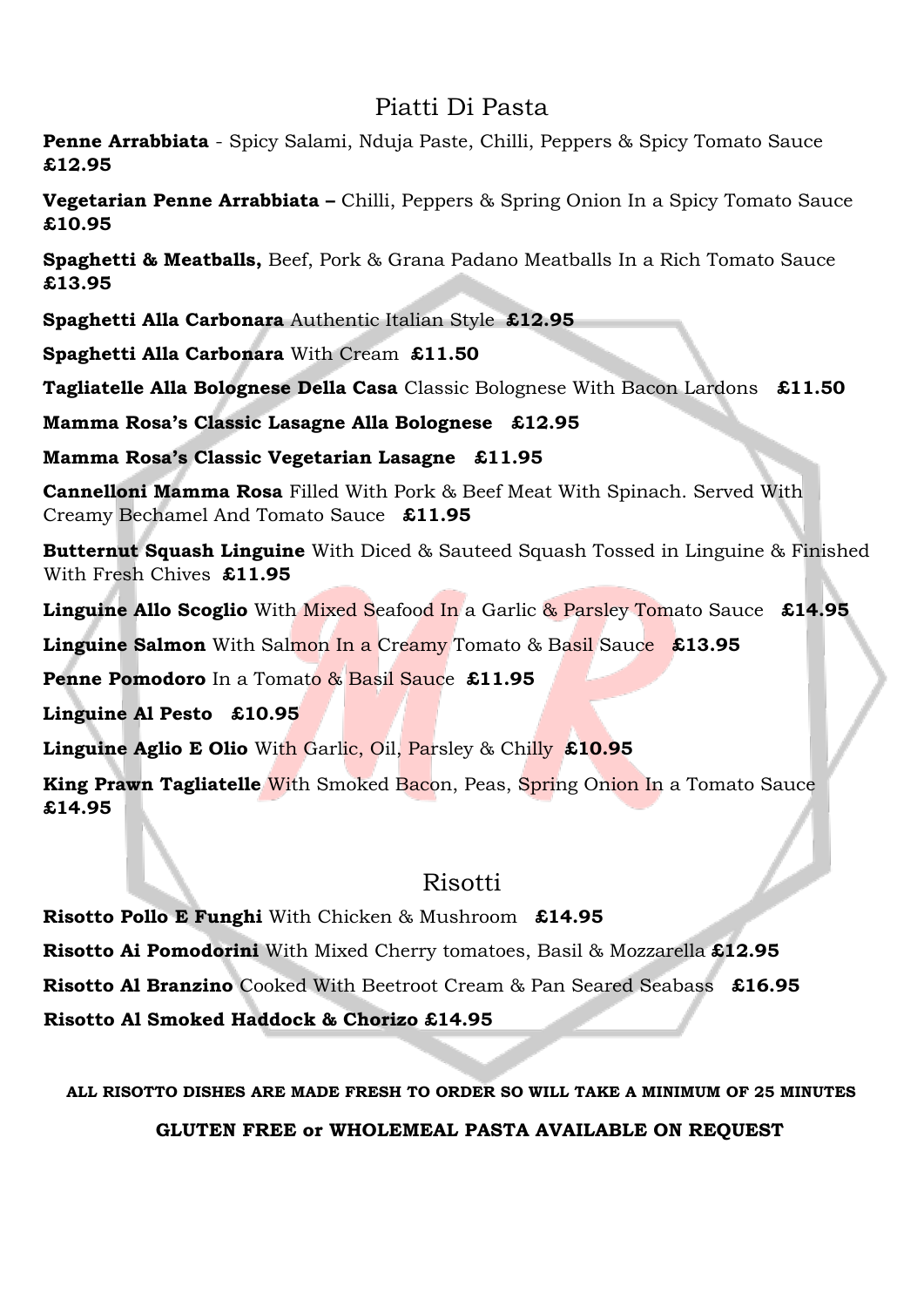## Piatti Di Pasta

**Penne Arrabbiata** - Spicy Salami, Nduja Paste, Chilli, Peppers & Spicy Tomato Sauce **£12.95** 

**Vegetarian Penne Arrabbiata –** Chilli, Peppers & Spring Onion In a Spicy Tomato Sauce **£10.95** 

**Spaghetti & Meatballs,** Beef, Pork & Grana Padano Meatballs In a Rich Tomato Sauce **£13.95**

**Spaghetti Alla Carbonara** Authentic Italian Style **£12.95**

**Spaghetti Alla Carbonara** With Cream **£11.50**

**Tagliatelle Alla Bolognese Della Casa** Classic Bolognese With Bacon Lardons **£11.50**

**Mamma Rosa's Classic Lasagne Alla Bolognese £12.95** 

**Mamma Rosa's Classic Vegetarian Lasagne £11.95** 

**Cannelloni Mamma Rosa** Filled With Pork & Beef Meat With Spinach. Served With Creamy Bechamel And Tomato Sauce **£11.95** 

**Butternut Squash Linguine** With Diced & Sauteed Squash Tossed in Linguine & Finished With Fresh Chives **£11.95**

**Linguine Allo Scoglio** With Mixed Seafood In a Garlic & Parsley Tomato Sauce **£14.95** 

**Linguine Salmon** With Salmon In a Creamy Tomato & Basil Sauce **£13.95** 

**Penne Pomodoro** In a Tomato & Basil Sauce **£11.95** 

**Linguine Al Pesto £10.95** 

**Linguine Aglio E Olio** With Garlic, Oil, Parsley & Chilly **£10.95**

**King Prawn Tagliatelle** With Smoked Bacon, Peas, Spring Onion In a Tomato Sauce **£14.95** 

# Risotti

**Risotto Pollo E Funghi** With Chicken & Mushroom **£14.95 Risotto Ai Pomodorini** With Mixed Cherry tomatoes, Basil & Mozzarella **£12.95 Risotto Al Branzino** Cooked With Beetroot Cream & Pan Seared Seabass **£16.95 Risotto Al Smoked Haddock & Chorizo £14.95**

**ALL RISOTTO DISHES ARE MADE FRESH TO ORDER SO WILL TAKE A MINIMUM OF 25 MINUTES**

**GLUTEN FREE or WHOLEMEAL PASTA AVAILABLE ON REQUEST**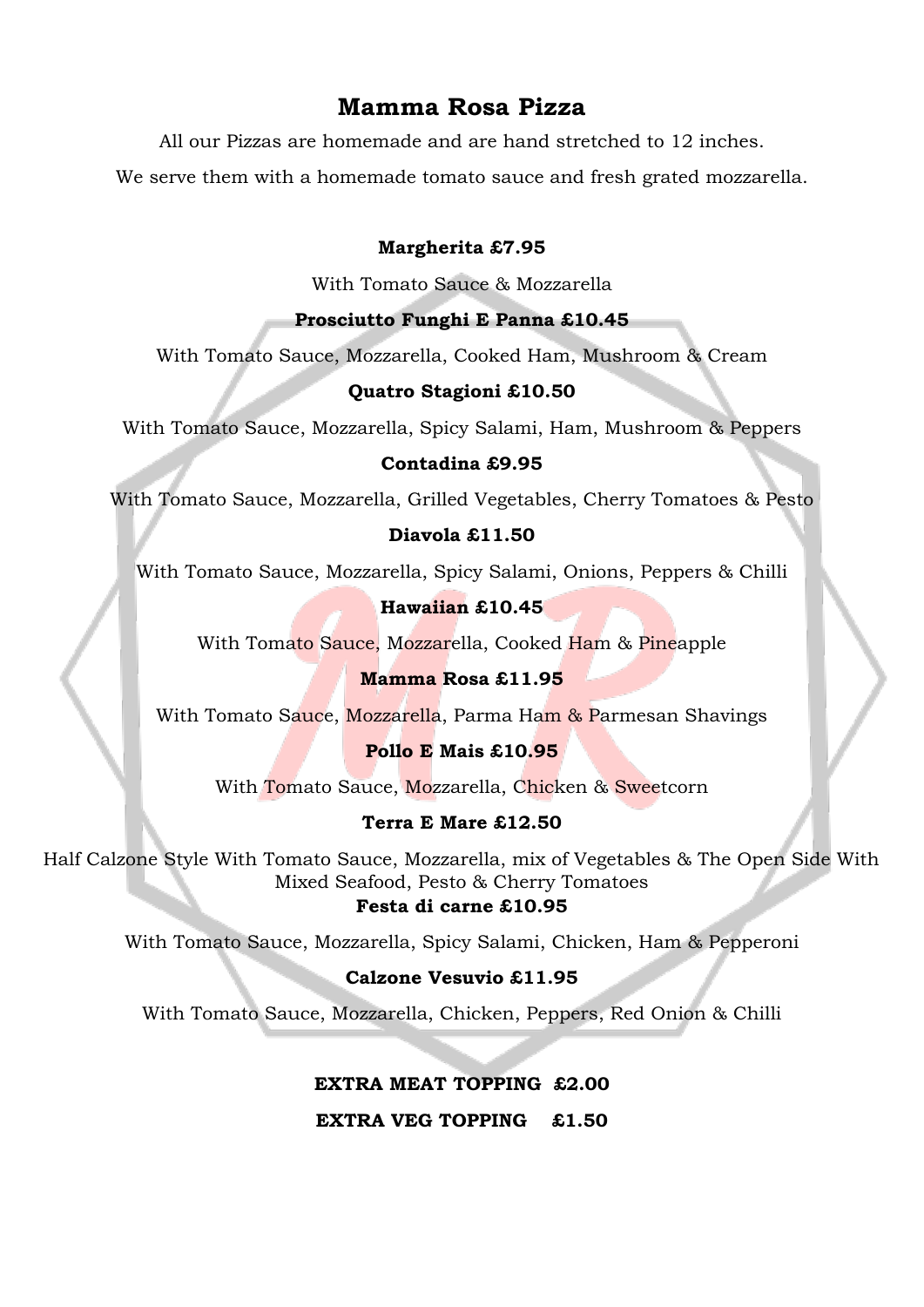## **Mamma Rosa Pizza**

All our Pizzas are homemade and are hand stretched to 12 inches.

We serve them with a homemade tomato sauce and fresh grated mozzarella.

#### **Margherita £7.95**

With Tomato Sauce & Mozzarella

#### **Prosciutto Funghi E Panna £10.45**

With Tomato Sauce, Mozzarella, Cooked Ham, Mushroom & Cream

## **Quatro Stagioni £10.50**

With Tomato Sauce, Mozzarella, Spicy Salami, Ham, Mushroom & Peppers

#### **Contadina £9.95**

With Tomato Sauce, Mozzarella, Grilled Vegetables, Cherry Tomatoes & Pesto

#### **Diavola £11.50**

With Tomato Sauce, Mozzarella, Spicy Salami, Onions, Peppers & Chilli

## **Hawaiian £10.45**

With Tomato Sauce, Mozzarella, Cooked Ham & Pineapple

## **Mamma Rosa £11.95**

With Tomato Sauce, Mozzarella, Parma Ham & Parmesan Shavings

## **Pollo E Mais £10.95**

With Tomato Sauce, Mozzarella, Chicken & Sweetcorn

## **Terra E Mare £12.50**

Half Calzone Style With Tomato Sauce, Mozzarella, mix of Vegetables & The Open Side With Mixed Seafood, Pesto & Cherry Tomatoes **Festa di carne £10.95**

With Tomato Sauce, Mozzarella, Spicy Salami, Chicken, Ham & Pepperoni

## **Calzone Vesuvio £11.95**

With Tomato Sauce, Mozzarella, Chicken, Peppers, Red Onion & Chilli

## **EXTRA MEAT TOPPING £2.00**

l

**EXTRA VEG TOPPING £1.50**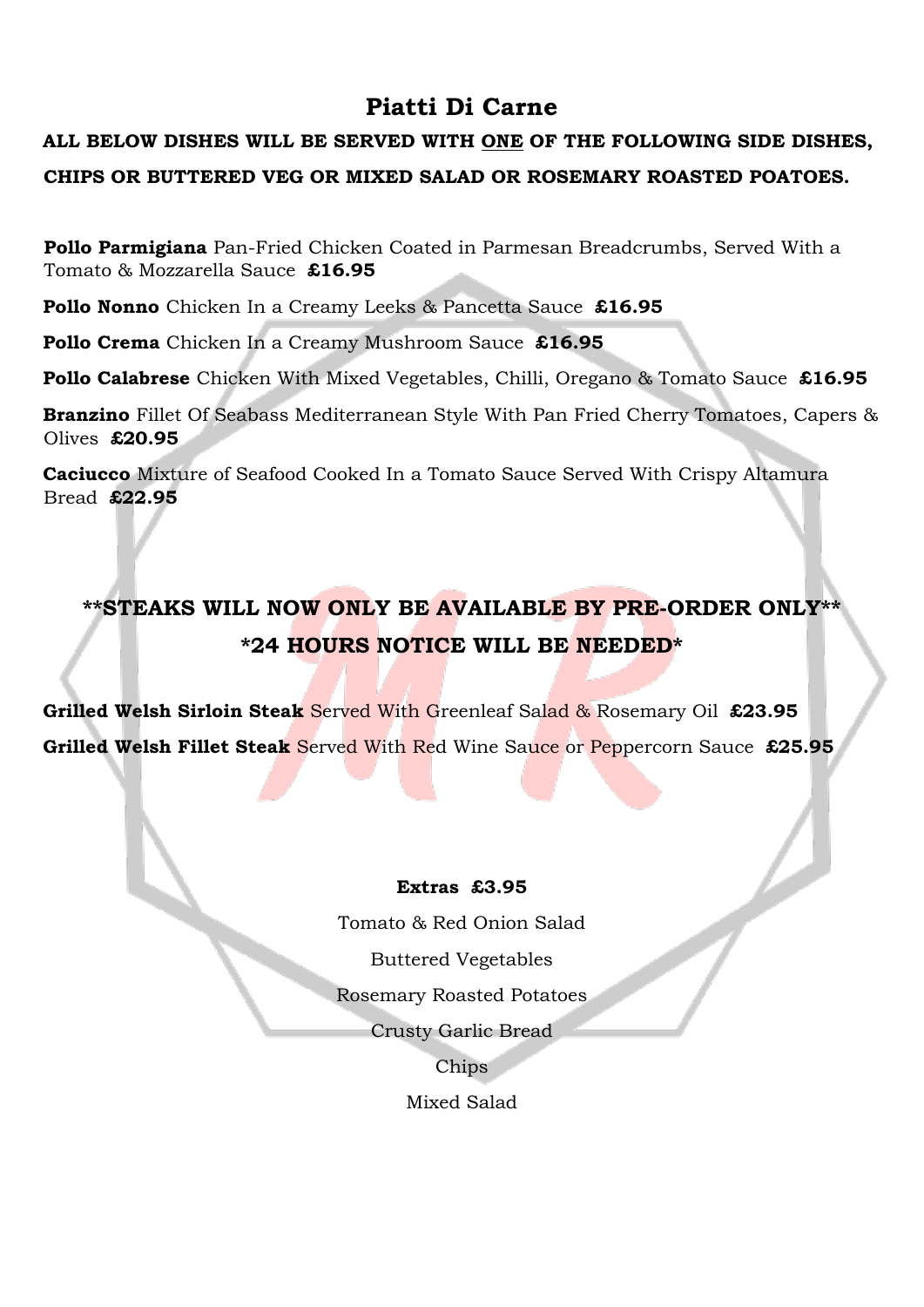# **Piatti Di Carne**

# **ALL BELOW DISHES WILL BE SERVED WITH ONE OF THE FOLLOWING SIDE DISHES, CHIPS OR BUTTERED VEG OR MIXED SALAD OR ROSEMARY ROASTED POATOES.**

**Pollo Parmigiana** Pan-Fried Chicken Coated in Parmesan Breadcrumbs, Served With a Tomato & Mozzarella Sauce **£16.95**

**Pollo Nonno** Chicken In a Creamy Leeks & Pancetta Sauce **£16.95** 

**Pollo Crema** Chicken In a Creamy Mushroom Sauce **£16.95** 

**Pollo Calabrese** Chicken With Mixed Vegetables, Chilli, Oregano & Tomato Sauce **£16.95** 

**Branzino** Fillet Of Seabass Mediterranean Style With Pan Fried Cherry Tomatoes, Capers & Olives **£20.95** 

**Caciucco** Mixture of Seafood Cooked In a Tomato Sauce Served With Crispy Altamura Bread **£22.95** 

# **\*\*STEAKS WILL NOW ONLY BE AVAILABLE BY PRE-ORDER ONLY\*\* \*24 HOURS NOTICE WILL BE NEEDED\***

**Grilled Welsh Sirloin Steak** Served With Greenleaf Salad & Rosemary Oil **£23.95 Grilled Welsh Fillet Steak** Served With Red Wine Sauce or Peppercorn Sauce **£25.95** 

#### **Extras £3.95**

Tomato & Red Onion Salad

Buttered Vegetables

Rosemary Roasted Potatoes

Crusty Garlic Bread

Chips

Mixed Salad